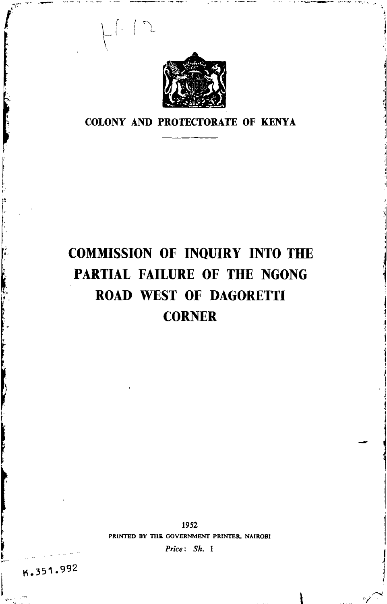

## **COLONY AND PROTECTORATE OF KENYA**

# **COMMISSION OF INQUIRY INTO THE** PARTIAL FAILURE OF THE NGONG **ROAD WEST OF DAGORETTI CORNER**

1952 PRINTED BY THE GOVERNMENT PRINTER, NAIROBI

Price: Sh. 1

K.351.992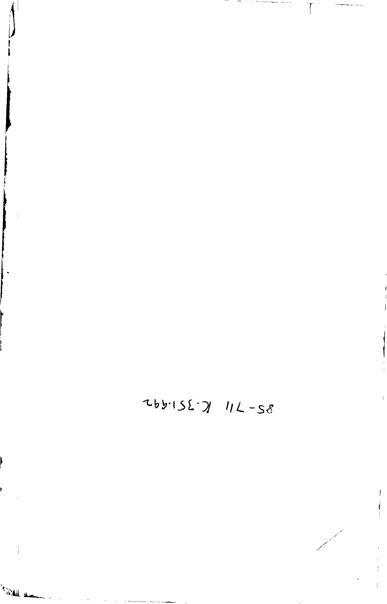$32 - 111$  K. 321.46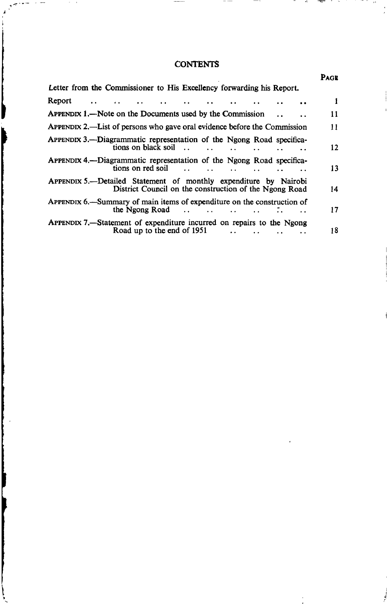## **CONTENTS**

|                                                                                                                            | <b>PAGE</b> |
|----------------------------------------------------------------------------------------------------------------------------|-------------|
| Letter from the Commissioner to His Excellency forwarding his Report.                                                      |             |
| Report                                                                                                                     | 1           |
| APPENDIX 1.—Note on the Documents used by the Commission                                                                   | 11          |
| APPENDIX 2.—List of persons who gave oral evidence before the Commission                                                   | 11          |
| APPENDIX 3.—Diagrammatic representation of the Ngong Road specifica-<br>tions on black soil                                | 12          |
| APPENDIX 4.—Diagrammatic representation of the Ngong Road specifica-<br>tions on red soil                                  | 13          |
| APPENDIX 5.—Detailed Statement of monthly expenditure by Nairobi<br>District Council on the construction of the Ngong Road | 14          |
| APPENDIX 6.—Summary of main items of expenditure on the construction of<br>the Ngong Road<br><b>Contract Contract</b>      | 17          |
| APPENDIX 7.—Statement of expenditure incurred on repairs to the Ngong<br>Road up to the end of 1951                        | 18          |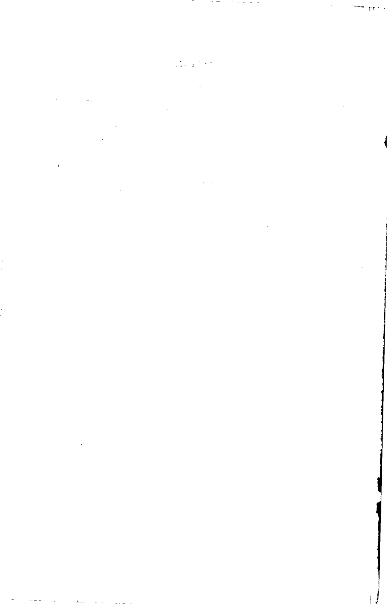$\frac{1}{2} \frac{1}{2} \left( \frac{1}{2} \right)^{2} \left( \frac{1}{2} \right)^{2} \left( \frac{1}{2} \right)^{2}$  $\label{eq:2.1} \frac{1}{\sqrt{2\pi}}\int_{0}^{\infty}\frac{1}{\sqrt{2\pi}}\left(\frac{1}{\sqrt{2\pi}}\right)^{2\pi} \frac{1}{\sqrt{2\pi}}\int_{0}^{\infty}\frac{1}{\sqrt{2\pi}}\left(\frac{1}{\sqrt{2\pi}}\right)^{2\pi} \frac{1}{\sqrt{2\pi}}\frac{1}{\sqrt{2\pi}}\int_{0}^{\infty}\frac{1}{\sqrt{2\pi}}\frac{1}{\sqrt{2\pi}}\frac{1}{\sqrt{2\pi}}\frac{1}{\sqrt{2\pi}}\frac{1}{\sqrt{2\pi}}\frac{1}{\sqrt{$ 

 $\label{eq:2.1} \frac{1}{\sqrt{2}}\int_{\mathbb{R}^3}\frac{1}{\sqrt{2}}\left(\frac{1}{\sqrt{2}}\right)^2\frac{1}{\sqrt{2}}\left(\frac{1}{\sqrt{2}}\right)^2\frac{1}{\sqrt{2}}\left(\frac{1}{\sqrt{2}}\right)^2\frac{1}{\sqrt{2}}\left(\frac{1}{\sqrt{2}}\right)^2\frac{1}{\sqrt{2}}\left(\frac{1}{\sqrt{2}}\right)^2\frac{1}{\sqrt{2}}\left(\frac{1}{\sqrt{2}}\right)^2\frac{1}{\sqrt{2}}\frac{1}{\sqrt{2}}\frac{1}{\sqrt{2}}\frac{1$  $\mathcal{L}^{\text{max}}_{\text{max}}$  ,  $\mathcal{L}^{\text{max}}_{\text{max}}$  $\label{eq:2.1} \frac{1}{\sqrt{2\pi}}\int_{\mathbb{R}^3} \frac{d\mu}{\mu} \left( \frac{d\mu}{\mu} \right)^2 \frac{d\mu}{\mu} \left( \frac{d\mu}{\mu} \right)^2 \frac{d\mu}{\mu} \left( \frac{d\mu}{\mu} \right)^2 \frac{d\mu}{\mu} \left( \frac{d\mu}{\mu} \right)^2 \frac{d\mu}{\mu} \left( \frac{d\mu}{\mu} \right)^2 \frac{d\mu}{\mu} \left( \frac{d\mu}{\mu} \right)^2 \frac{d\mu}{\mu} \left( \frac{d\mu}{\mu} \right$ 

 $\label{eq:2} \frac{1}{\sqrt{2}}\left(\frac{1}{\sqrt{2}}\right)^{2} \left(\frac{1}{\sqrt{2}}\right)^{2} \left(\frac{1}{\sqrt{2}}\right)^{2} \left(\frac{1}{\sqrt{2}}\right)^{2} \left(\frac{1}{\sqrt{2}}\right)^{2} \left(\frac{1}{\sqrt{2}}\right)^{2} \left(\frac{1}{\sqrt{2}}\right)^{2} \left(\frac{1}{\sqrt{2}}\right)^{2} \left(\frac{1}{\sqrt{2}}\right)^{2} \left(\frac{1}{\sqrt{2}}\right)^{2} \left(\frac{1}{\sqrt{2}}\right)^{2} \left(\frac{$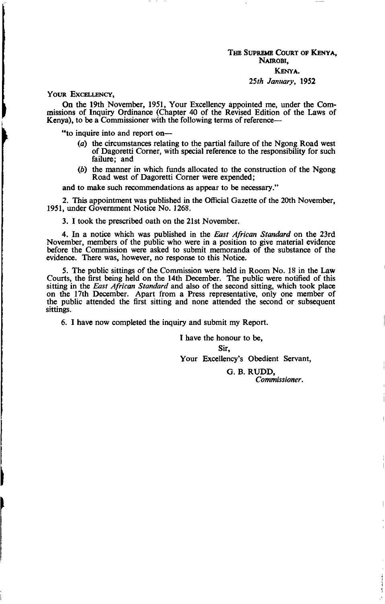## THE SUPREME COURT OF KENYA. NAIROBI. KENYA.

## 25th January, 1952

YOUR EXCELLENCY.

On the 19th November, 1951, Your Excellency appointed me, under the Commissions of Inquiry Ordinance (Chapter 40 of the Revised Edition of the Laws of Kenya), to be a Commissioner with the following terms of reference--

"to inquire into and report on-

- (a) the circumstances relating to the partial failure of the Ngong Road west of Dagoretti Corner, with special reference to the responsibility for such failure; and
- (b) the manner in which funds allocated to the construction of the Ngong Road west of Dagoretti Corner were expended;

and to make such recommendations as appear to be necessary."

2. This appointment was published in the Official Gazette of the 20th November, 1951, under Government Notice No. 1268.

3. I took the prescribed oath on the 2lst November.

4. In a notice which was published in the East African Standard on the 23rd November, members of the public who were in a position to give material evidence before the Commission were asked to submit memoranda of the substance of the evidence. There was, however, no response to this Notice.

5. The public sittings of the Commission were held in Room No. 18 in the Law Courts, the first being held on the l4th December. The public were notified of this sitting in the *East African Standard* and also of the second sitting, which took place on the lTth December. Apart from a Press representative, only one member of the public attended the first sitting and none attended the second or subsequent sittings.

6. I havc now completed the inquiry and submit my Report.

I have the honour to be,

Sir,

Your Excellency's Obedient Servant,

#### G. B. RUDD,

Commissioner,

ł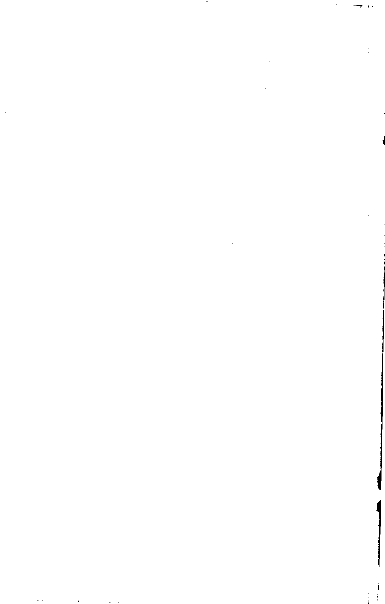$\mathcal{L}^{(1)}$  $\mathcal{L}_{\text{max}}$  .  $\Delta \sim 10^4$  $\mathcal{L}^{\text{max}}_{\text{max}}$  and  $\mathcal{L}^{\text{max}}_{\text{max}}$  $\mathcal{L}^{(1)}$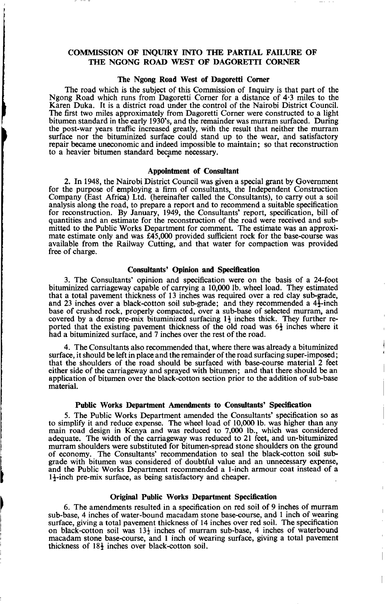## COMMISSION OF INQUIRY INTO THE PARTIAL FAILURE OF THE NGONG ROAD WEST OF DAGORETTI CORNER

## The Ngong Road West of Dagoretti Corner

The road which is the subject of this Commission of Inquiry is that part of the Ngong Road which runs from Dagoretti Corner for a distance of 4.3 miles to the Karen Duka. It is a district road under the control of the Nairobi District Council. The first two miles approximately from Dagoretti Corner were constructed to a light bitumen standard in the early 1930's, and the remainder was murram surfaced. During the post-war years traffic increased greatly, with the result that neither the murram surface nor the bituminized surface could stand up to the wear, and satisfactory repair became uneconomic and indeed impossible to maintain; so that reconstruction to a heavier bitumen standard became necessary.

#### Appointment of Consultant

2. In 1948, the Nairobi District Council was given a special grant by Government for the purpose of employing a firm of consultants, the Independent Construction Company (East Africa) Ltd. (hereinafter called the Consultants), to carry out a soil analysis along the road, to prepare a report and to recommend a suitable specification for reconstruction. By January, 1949, the Consultants' report, specification, bill of quantities and an estimate for the reconstruction of the road were received and submitted to the Public Works Department for comment. The estimate was an approximate estimate only and was  $\text{\textsterling}45,000$  provided sufficient rock for the base-course was available from the Railway Cutting, and that water for compaction was provided free of charge.

#### Consultants' Opinion and Speciffcation

3. The Consultants' opinion and specification were on the basis of a Z4-foot bituminized carriageway capable of carrying a 10,000 lb. wheel load. They estimated that a total pavement thickness of 13 inches was required over a red clay sub-grade, and 23 inches over a black-cotton soil sub-grade; and they recommended a  $4\frac{1}{2}$ -inch base of crushed rock, properly compacted, over a sub-base of selected murram, and covered by a dense pre-mix bituminized surfacing  $1\frac{1}{2}$  inches thick. They further reported that the existing pavement thickness of the old road was  $6\frac{1}{2}$  inches where it had a bituminized surface, and 7 inches over the rest of the road.

I

4. The Consultants also recommended that, where there was already a bituminized surface, it should be left in place and the remainder of the road surfacing super-imposed; that the shoulders of the road should be surfaced with base-course material 2 feet either side of the carriageway and sprayed with bitumen; and that there should be an application of bitumen over the black-cotton section prior to the addition of sub-base material.

#### Public Works Department Amendments to Consultants' Specification

5. The Public Works Department amended the Consultants' specification so as to simplify it and reduce expense. The wheel load of lO,00O lb. was higher than any main road design in Kenya and was reduced to 7,000 lb., which was considered adequate. The width of the carriageway was reduced to 21 feet, and un-bituminized murram shoulders were substituted for bitumen-spread stone shoulders on the ground of economy. The Consultants' recommendation to seal the black-cotton soil subgrade with bitumen was considered of doubtful value and an unnecessary expense, and the Public Works Department recommended a I-inch arrnour coat instead of a 1<sup>1</sup>-inch pre-mix surface, as being satisfactory and cheaper.

#### Original Public Works Department Specification

6. The amendments resulted in a specification on red soil of 9 inches of murram sub-base, 4 inches of watet-bound macadam stone base-course, and I inch of wearing surface, giving a total pavement thickness of 14 inches over red soil. The specification on black-cotton soil was  $13\frac{1}{2}$  inches of murram sub-base, 4 inches of waterbound macadam stone base-course, and I inch of wearing surface, giving a total pavement thickness of  $18\frac{1}{2}$  inches over black-cotton soil.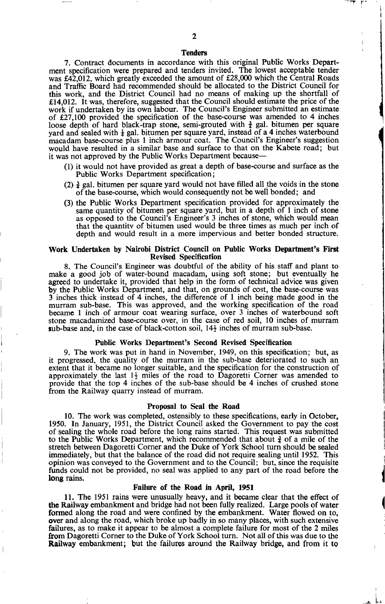-"? r'

ا ح

#### **Tenders**

7. Contract documents in accordance with this original Public Works Department specification were prepared and tenders invited. The lowest acceptable tender was  $f_4$ 2,012, which greatly exceeded the amount of  $f_2$ 8,000 which the Central Roads and Traffic Board had recommended should be allocated to the District Council for this work, and the District Council had no means of making up the shortfall of £14,012. It was, therefore, suggested that the Council should estimate the price of the work if undertaken by its own labour. The Council's Engineer submitted an estimate of  $£27,100$  provided the specification of the base-course was amended to 4 inches loose depth of hard black-trap stone, semi-grouted with  $\frac{3}{4}$  gal. bitumen per square yard and sealed with  $\frac{1}{4}$  gal. bitumen per square yard, instead of a 4 inches waterbound hacadam base-course plus I inch armour coat. The Council's Engineer's suggestion would have resulted in a similar base and surface to that on the Kabete road; but it was not approved by the Public Works Departrnent because-

- (l) it would not have provided as great a depth of base-course and surface as the Public Works Department specification;
- (2)  $\frac{3}{2}$  gal. bitumen per square yard would not have filled all the voids in the stone of the base-course, which would consequently not be well bonded; and
- (3) the Public Works Department specification provided for approximately the same quantity of bitumen per square yard, but in a depth of I inch of stone as opposed to the Council's Engineer's 3 inches of stone, which would mean that the quantitv of bitumen used would be three times as much per inch of depth and would result in a more impervious and better bonded structure.

#### Work Undertaken by Nairobi District Council on Public Works Department's First Revised Specification

8. The Council's Engineer was doubtful of the ability of his staff and plant to make a good job of water-bound macadam, using soft stone; but eventually he agreed to undertake it, provided that help in the form of technical advice was given by the Public Works Department, and that, on grounds of cost, the base-course was 3 inches thick instead of 4 inches, the difference of 1 inch being made good in the murram sub-base. This was approved, and the working specffication of the road becamc I inch of armour coat wearing surface, over 3 inches of waterbound soft stone macadamized base-course over, in the case of red soil, 10 inches of murram sub-base and, in the case of black-cotton soil,  $14\frac{1}{2}$  inches of murram sub-base.

#### Public Works Department's Second Revised Specification

9. The work was put in hand in November,1949, on this specification; but, as it progressed, the quality of the murrarn in the sub-base deteriorated to such an extent that it became no longer suitable, and the specification for the construction of approximately the last  $1\frac{1}{2}$  miles of the road to Dagoretti Corner was amended to provide that the top 4 inches of the sub-base should be 4 inches of crushed stone from the Railway quarry instead of murram.

#### Proposal to SeaI the Road

10. The work was completed, ostensibly to these specifications, early in October, 1950. In January, 1951, the District Council asked the Government to pay the cost of Sealing the whole road before the long rains started. This request was submitted to the Public Works Department, which recommended that about  $\frac{3}{4}$  of a mile of the stretch between Dagoretti Corner and the Duke of York School turn should be sealed immediately, but that the balance of the road did not require sealing until 1952. This opinion was conveyed to the Government and to the Council; but, since the requisite funds could not be provided, no seal was applied to any part of the road before the long rains.

#### Failure of the Road in April, 1951

11. The 1951 rains were unusually heavy, and it became clear that the effect of the Railway embankment and bridge had not been fully realized. Large pools of water formed along the road and were confined by the embankment. Water flowed on to, over and along the road, which broke up badly in so many places, with such extensive failures, as to make it appear to be almost a complete failure for most of the 2 miles from Dagoretti Corner to the Duke of York School turn. Not all of this was due to the Railway embankment; but the failures around the Railway bridge, and from it to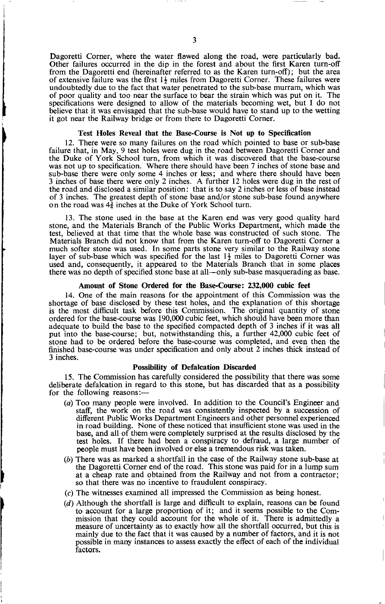Dagoretti Corner, where the water flowed along the road, were particularly bad. Other failures occurred in the dip in the forest and about the first Karen turn-off from the Dagoretti end (hereinafter referred to as the Karen turn-off); but the area of extensive failure was the first  $1\frac{1}{2}$  miles from Dagoretti Corner. These failures were undoubtedly due to the fact that water penetrated to the sub-base murram, which was of poor quality and too near the surface to bear the strain which was put on it. The specifications were designed to allow of the materials becoming wet, but I do not believe that it was envisaged that the sub-base would have to stand up to the wetting it got near the Railway bridge or from there to Dagoretti Corner.

#### Test Holes Reveal that the Base-Course is Not up to Specification

12. There were so many failures on the road which pointed to base or sub-base failure that, in May, 9 test holes were dug in the,road between Dagoretti Corner and the Duke of York School turn, from which it was discovered that the base-course was not up to specification, Where there should have been 7 inches of stone base and sub-base there were only some 4 inches or less; and where there should have been 3 inches of base there were only 2 inches. A further 12 holes were dug in the rest of the road and disclosed a similar position: that is to say 2 inches or less of base instead of 3 inches. The greatest depth of stone base and/or stone sub-base found anywhere on the road was  $4\frac{3}{4}$  inches at the Duke of York School turn.

13. The stone used in the base at the Karen end was very good quality hard stone, and the Materials Branch of the Public Works Department, which made the test, believed at that time that the whole base was constructed of such stone. The Materials Branch did not know that from the Karen turn-off to Dagoretti Corner a much softer stone was used. In some parts stone very similar to the Railway stone layer of sub-base which was specified for the last  $1\frac{1}{2}$  miles to Dagoretti Corner was used and, consequently, it appeared to the Materials Branch that in some places there was no depth of specified stone base at all-only sub-base masquerading as base.

#### Amount of Stone Ordered for the Base-Course: 232,000 cubic feet

14. One of the main reasons for the appointment of this Commission was the shortage of base disclosed by these test holes, and the explanation of this shortage is the most difficult task before this Commission. The original quantity of stone ordered for the base-course was 190,000 cubic feet, which should have been more than adequate to build the base to the specified compacted depth of 3 inches if it was all put into the base-course; but, notwithstanding this, a further 42,000 cubic feet of stone had to be ordered before the base-course was completed, and even then the finished base-course was under specification and only about 2 inches thick instead of 3 inches.

#### Possibility of Defalcation Discarded

15. The Commission has carefully considered the possibility that there was some deliberate defalcation in regard to this stone, but has discarded that as a possibility for the following reasons:

- (a) Too many people were involved. In addition to the Council's Engineer and staff, the work on the road was consistently inspected by a succession of different Public Works Department Engineers and other personnel experienced in road building. None of these noticed that insufficient stone was used in the base, and all of them were completely surprised at the results disclosed by the test holes. If there had been a conspiracy to defraud, a large number of people must have been involved or else a tremendous risk was taken.
- (b) There was as marked a shortfall in the case of the Railway stone sub-base at the Dagoretti Corner end of the road. This stone was paid for in a lump sum at a cheap rate and obtained from the Railway and not from a contractor; so that there was no incentive to fraudulent conspiracy,
- (c) The witnesses examined all impressed the Commission as being honest.
- (d) Although the shortfall is large and difficult to explain, reasons can be found to account for a large proportion of it; and it seems possible to the Commission that they could account for the whole of it. There is admittedly a measure of uncertainty as to exactly how all the shortfall occurred, but this is mainly due to the fact that it was caused by a number of factors, and it is not possible in many instances to assess exactly the effect of each of the individual factors.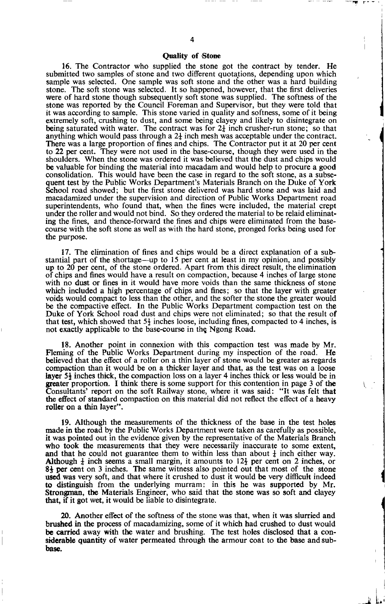#### **Quality of Stone**

15. The Contractor who supplied the stone got the contract by tender. He submitted two samples of stone and two different quotations, depending upon which sample was selected. One sample was soft stone and the other was a hard building stone. The soft stone was selected. It so happened, however, that the first deliveries were of hard stone though subsequently soft stone was supplied. The softness of the stone was reported by the Council Foreman and Supervisor, but they were told that it was according to sample. This stone varied in quality and softness, some of it being extremely soft, crushing to dust, and some being clayey and likely to disintegrate on being saturated with water. The contract was for  $2\frac{1}{4}$  inch crusher-run stone; so that anything which would pass through a  $2\frac{1}{2}$  inch mesh was acceptable under the contract. There was a large proportion of fines and chips. The Contractor put it at 20 per cent to 22 per cent. They were not used in the base-course, though they were used in the shoulders. When the stone was ordered it was believed that the dust and chips would be valuable for binding the material into macadam and would help to procure a good consolidation. This would have been the case in regard to the soft stone, as a subsequent test by the Public Works Department's Materials Branch on the Duke of York School road showed; but the first stone delivered was hard stone and was laid and macadamized under the supervision and direction of Public Works Department road superintendents, who found that, when the fines were included, the material crept under the roller and would not bind. So they ordered the material to be relaid eliminating the fines, and thence-forward the fines and chips were eliminated from the basecourse with the soft stone as well as with the hard stone, pronged forks being used for the purpose.

17. The elimination of fines and chips would be a direct explanation of a substantial part of the shortage-up to 15 per cent at least in my opinion, and possibly up to 20 per @nt, of the stone ordered. Apart from this direct result, the elimination of chips and fines would have a result on compaction, because 4 inches of large stone with no dust or fines in it would have more voids than the same thickness of stone which included a high percentage of chips and fines; so that the layer with greater voids would compact to less than the other, and the softer the stone the greater would be the compactive effect. In the Public Works Department compaction test on the Duke of York School road dust and chips were not eliminated; so that the result of that test, which showed that  $5\frac{1}{2}$  inches loose, including fines, compacted to 4 inches, is not exactly applicable to the base-course in the Ngong Road.

18. Another point in connexion with this compaction test was made by Mr. Fleming of the Public Works Department during my inspection of the road. He believed that the effect of a roller on a thin layer of stone would be greater asregards compaction than it would be on a thicker layer and that, as the test was on a loose layer  $5\frac{1}{2}$  inches thick, the compaction loss on a layer 4 inches thick or less would be in greater proportion. I think there is some support for this contention in page 3 of the Consultants' report on the soft Railway stone, where it was said: "It was felt that the effect of standard compaction on this material did not reflect the effect of a heavy roller on a thin layer".

19. Although the measurements of the thickness of the base in the test holes made in the road by the Public Works Department were taken as carefully as possible, it was pointed out in the evidence given by the representative of the Materials Branch who took the measurements that they were necessarily inaccurate to some extent, and that he could not guarantee them to within less than about  $\frac{1}{4}$  inch either way. Although  $\frac{1}{4}$  inch seems a small margin, it amounts to 12 $\frac{1}{2}$  per cent on 2 inches, or  $8\frac{1}{3}$  per cent on 3 inches. The same witness also pointed out that most of the stone uscd was very soft, and that where it crushed to dust it would be very difficult indeed to distinguish from the underlying murram: in this he was supportcd by Mr. Strongman, the Materials Engineer, who said that the stone was so soft and clayey that, if it got wet, it would be liable to disintegrate.

Z). Another effect of the softness of the stone was that, when it was slurried and brushed in the process of macadamizing, some of it which had crushed to dust would be carried away with the water and brushing. The test holes disclosed that a considerable quantity of water permeated through the armour coat to the base and subbase.

> l املاً الف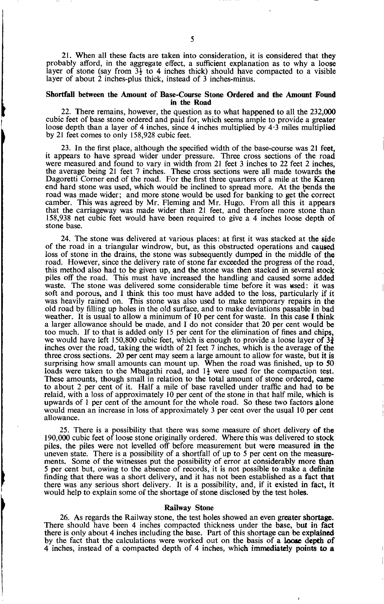21. When all these facts are taken into consideration, it is considered that they probably afford, in the aggregate effect, a sufficient explanation as to why a loose layer of stone (say from  $3\frac{1}{2}$  to 4 inches thick) should have compacted to a visible layer of about 2 inches-plus thick, instead of 3 inches-minus.

## Shortfall between the Amount of Base-Course Stone Ordered and the Amount Found<br>in the Road

22. There remains, however, the question as to what happened to all the 232,000 cubic feet of base stone ordered and paid for, which seems ample to provide a greater loose depth than a layer of 4 inches, since 4 inches multiplied by 4'3 miles multiplied by 2l feet comes to only 158,928 cubic feet.

23. In the first place, although the specifled width of the base-course was 2l feet, it appears to have spread wider under pressure. Three cross sections of the road were measured and found to vary in width from 2l feet 3 inches to 22 feet 2 inches, the average being 2l feet 7 inches. These cross sections were all made towards the Dagoretti Corner end of the road. For the first three quarters of a mile at the Karen end hard stone was used, which would be inclined to spread more. At the bends the road was made wider; and more stone would be used for banking to get the correct camber. This was agreed by Mr. Fleming and Mr. Hugo. From all this it appears that the carriageway was made wider than 21 feet, and therefore more stone than 158,938 net cubic feet would have been required to give a 4 inches loose depth of stone base.

24. The stone was delivered at various places: at first it was stacked at the side of the road in a triangular windrow, but, as this obstructed operations and caused loss of stone in the drains, the stone was subsequently dumped in the middle of the road. However, since the delivery rate of stone far exceeded the progress of the road, this method also had to be given up, and the stone was then stacked in several stock piles off the road. This must have increased the handling and caused some added waste. The stone was delivered some considerable time before it was used: it was soft and porous, and I think this too must have added to the loss, particularly if it was heavily rained on. This stone was also used to make temporary repairs in the old road by filling up holes in the old surface, and to make deviations passable in bad weather. It is usual to allow a minimum of 10 per cent for waste. In this case I think a larget allowance should be made, and I do not consider that 20 per cent would be too much. If to that is added only 15 per cent for the elimination of fines and chips, we would have left 150,800 cubic feet, which is enough to provide a loose layer of  $3\frac{3}{4}$ inches over the road, taking the width of 21 feet 7 inches, which is the average of the three cross sections. 20 per cent may seem a large amount to allow for waste, but it is surprising how small amounts can mount up. When the road was finished, up to 50 loads were taken to the Mbagathi road, and  $1\frac{1}{2}$  were used for the compaction test. These amounts, though small in relation to the total amount of stone ordered, came to about 2 per cent of it. Half a mile of base ravelled under traffic and had to be relaid, with a loss of approximately l0 per cent of the stone in that half mile, which is upwards of I per cent of the amount for the whole road. So these two factors alone would mean an increase in loss of approximately 3 per cent over the usual 10 per cent allowance.

25. There is a possibility that there was some measure of short delivery of the 190,000 cubic feet of loose stone originally ordered. Where this was delivered to stock piles, the piles were not levelled off before measurement but were measured in the uneven state. There is a possibility of a shortfall of up to 5 per cent on the measurements. Some of the witnesses put the possibility of error at considerably more than 5 per cent but, owing to the absence of records, it is not possible to make a definite finding that there was a short delivery, and it has not been established as a fact that there was any serious short delivery. It is a possibility, and, if it existed in fact, it would help to explain some of the shortage of stone disclosed by the test holes.

#### Railway Stone

26. As regards the Railway stone, the test holes showed an even greater shortage. There should have been 4 inches compacted thickness under the base, bul in fact there is only about 4 inches including the base. Part of this shortage can be explained by the fact that the calculations were worked out on the basis of a loose depth of 4 inches, instead of a compacted depth of 4 inches, which immediately points to a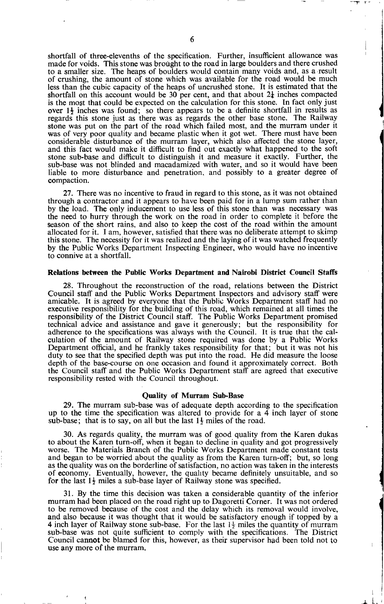shortfall of three-elevenths of the specification. Further, insufficient allowance was made for voids. This stone was brought to the road in large boulders and there crushed to a smaller size. The heaps of boulders would contain many voids and, as a result of crushing, the amount of stone which was available for the road would be much less than the cubic capacity of the heaps of uncrushed stone. It is estimated that the shortfall on this account would be 30 per cent, and that about  $2\frac{1}{4}$  inches compacted is the most that could be expected on the calculation for this stone. In fact only just over  $1\frac{1}{2}$  inches was found; so there appears to be a definite shortfall in results as regards this stone just as there was as regards the other base stone. The Railway stone was put on the part of the road which failed most, and the murram under it was of very poor quality and became plastic when it got wet. There must have been considerable disturbance of the murram layer, which also affected the stone layer, and this fact would make it difficult to find out exactly what happened to the soft stone sub-base and difficult to distinguish it and measure it exactly. Further, the sub-base was not blinded and macadamized with water, and so it would have been liable to more disturbance and penetration, and possibly to a greater degree of compaction.

27. There was no incentive to fraud in regard to this stone, as it was not obtained through a contractor and it appears to have been paid for in a lump sum rather than by the load. The only inducement to use less of this stone than was necessary was the need to hurry through the work on the road in order to complete it before the season of the short rains, and also to keep the cost of the road within the amount allocated for it. I am, however, satisfied that there was no deliberate attempt to skimp this stone. The necessity for it was realized and the laying of it was watched frequently by the Public Works Department Inspecting Engineer, who would have no incentive to connive at a shortfall.

#### Relations between the Public Works Department and Nairobi District Council Staffs

28. Throughout the reconstruction of the road, relations between the District Council staff and the Public Works Department Inspectors and advisory staff were amicable. It is agreed by everyone that the Public Works Department staff had no executive responsibility for the building of this road, which remained at all times the responsibility of the District Council staff. The Public Works Department promised technical advice and assistance and gave it generously; but the responsibility for adherence to the specifications was always with the Council. It is true that the calculation of the amount of Railway stone required was done by a Public Works Department official, and he frankly takes responsibility for that; but it was not his duty to see that the specified depth was put into the road. He did measure the loose depth of the base-course on one occasion and found it approximately correct. Both the Council staff and the Public Works Department staff are agreed that executive responsibility rested with the Council throughout.

#### Quality of Murram Sub-Base

29. The murram sub-base was of adequate depth according to the specification up to the time the specification was altered to provide for a 4 inch layer of stone sub-base; that is to say, on all but the last  $1\frac{1}{2}$  miles of the road.

30. As regards quality, the murram was of good quality from the Karen dukas to about the Karen turn-off, when it began to decline in quality and got progressively worse. The Materials Branch of the Public Works Department made constant tests and began to be worried about the quality as from the Karen turn-off; but, so long as the quality was on the borderline of satisfaction, no action was taken in the interests of economy. Eventually, however, the qualrty became definitely unsuitable, and so for the last  $1\frac{1}{2}$  miles a sub-base layer of Railway stone was specified.

31. By the time this decision was taken a considerable quantity of the inferior murram had been placed on the road right up to Dagoretti Corner. It was not ordered to be removed because of the cost and the delay which its removal would involve, and also because it was thought that it would be satisfactory enough if topped by <sup>a</sup> 4 inch layer of Railway stone sub-base. For the last  $1\frac{1}{2}$  miles the quantity of murram sub-base was not quite sufficient to comply with the specifications. The District Council cannot be blampd for this, hewever, as their supervisor had been told not to use any more of the murram.

.^ 1..

Ī.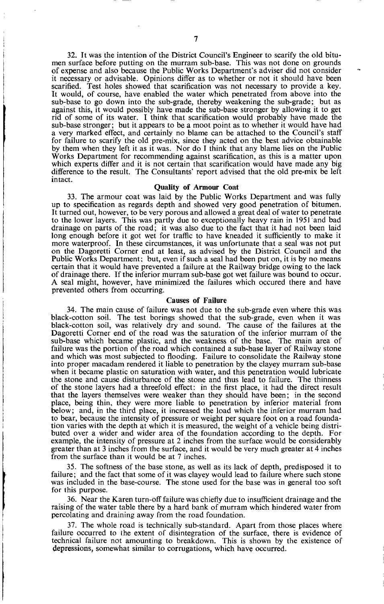32. It was the intention of the District Council's Engineer to scarify the old bitumen surface before putting on the murram sub-base, This was not done on grounds of expense and also because the Public Works Department's adviser did not consider it necessary or advisable. Opinions differ as to whether or not it should have been scarifled. Test holes showed that scarification was not necessary to provide a key. It would, of course, have enabled the water which penetrated from above into the sub-base to go down into the sub-grade, thereby weakening the sub-grade; but as against this, it would possibly have made the sub-base stronger by allowing it to get rid of some of its water. I think that scarffication would probably have made the sub-base stronger; but it appears to be a moot point as to whether it would have had a very marked effect, and certainly no blame can be attached to the Council's staff for failure to scarify the old pre-mix, since they acted on the best advice obtainable by them when they left it as it was. Nor do I think that any blame lies on the Public Works Department for recommending against scariflcation, as this is a matter upon which experts differ and it is not certain that scarification would have made any big difference to the result. The Consultants' report advised that the old pre-mix be left intact.

#### Quality of Armour Coat

33. The armour coat was laid by the Public Works Department and was fully up to specification as regards depth and showed very good penetration of bitumen. It turned out, however, to be very porous and allowed a great deal of water to penetrate to the lower layers. This was partly due to exceptionally heavy rain in 1951'and bad drainage on parts of the road; it was also due to the fact that it had not been laid long enough before it got wet for traffic to have kneaded it sufficiently to make it more waterproof. In these circumstances, it was unfortunate that a seal was not put on the Dagoretti Corner end at least, as advised by the District Council and the Public Works Department; but, even if such a seal had been put on, it is by no means certain that it would have prevented a failure at the Railway bridge owing to the lack of drainage there. If the inferior murram sub-base got wet failure was bound to occur. A seal might, however, have minimized the failures which occured there and have prevented others from occurring.

#### Causes of Failure

34. The main cause of failure was not due to the sub-grade even where this was black-cotton soil. The test borings showed that the sub-grade, even when it was black-cotton soil, was relatively dry and sound. The cause of the failures at the Dagoretti Corner end of the road was the saturation of the inferior murram of the sub-base which became plastic, and the weakness of the base. The main area of failure was the portion of the road which contained a sub-base layer of Railway stone and which was most subjected to flooding. Failure to consolidate the Railway stone into proper macadam rendered it liable to penetration by the clayey murram sub-base when it became plastic on saturation with water, and this penetration would lubricate the stone and cause disturbance of the stone and thus lead to failure. The thinness of the stone layers had a threefold effect: in the first place, it had the direct result that the layers themselves were weaker than they should have been; in the second place, being thin, they were more liable to penetration by inferior material from below; and, in the third place, it increased the load which the inferior murram had to bear, because the intensity of pressure or weight per square foot on a road foundation varies with the depth at which it is measured, the weight of a vehicle being distributed over a wider and wider area of the foundation according to the depth. For example, the intensity of pressure at 2 inches from the surface would be considerably greater than at 3 inches from the surface, and it would be very much greater at 4 inches from the surface than it would be at 7 inches.

35. The softness of the base stone, as well as its lack of depth, predisposed it to failure; and the fact that some of it was clayey would lead to failure where such stone was included in the base-course. The stone used for the base was in general too soft for this purpose.

36. Near the Karen turn-off failure was chiefly due to insufficient drainage and the raising of the water table there by a hard bank of murram which hindered water from percolating and draining away from the road foundation.

37. The whole road is technically sub-standard. Apart from those places where failure occurred to the extent of disintegration of the surface, there is evidence of technical failure not amounting to breakdown. This is shown by the existence of depressions, somewhat similar to corrugations, which have occurred.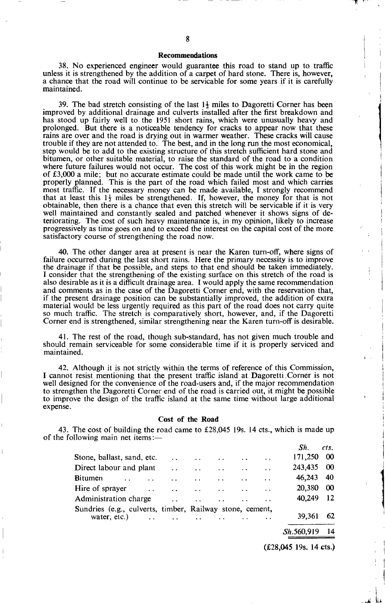#### **Recommendations**

38. No experienced engineer would guarantee this road to stand up to traffic unless it is strengthened by the addition of a carpet of hard stone. There is, however, a chance that the road will continue to be servicable for some years if it is carefully maintained.

39. The bad stretch consisting of the last  $1\frac{1}{2}$  miles to Dagoretti Corner has been improved by additional drainage and culverts installed after the first breakdown and has stood up fairly well to the 1951 short rains, which were unusually heavy and prolonged. But there is a noticeable tendency for cracks to appear now that these rains are over and the road is drying out in warmer weather. These cracks will cause trouble if they are not attended to. The best, and in the long run the most economical, step would be to add to the existing structure of this stretch sufficient hard stone and bitumen, or other suitable material, to raise the standard of the road to a condition where future failures would not occur. The cost of this work might be in the region of  $£3,000$  a mile; but no accurate estimate could be made until the work came to be properly planned. This is the part of the road which failed most and which carries most traffic. If the necessary money can be made available, I strongly recommend that at least this  $1\frac{1}{2}$  miles be strengthened. If, however, the money for that is not obtainable, then there is a chance that even this stretch will be servicable if it is very well maintained and constantly sealed and patched whenever it shows signs of deteriorating. The cost of such heavy maintenance is, in my opinion, likely to increase progressively as time goes on and to exceed the interest on the capital cost of the more satisfactory course of strengthening the road now.

40. The other danger area at present is near the Karen turn-off, where signs of failure occurred during the last short rains. Here the primary necessity is to improve the drainage if that be possible, and steps to that end should be taken immediately. I consider that the strengthening of the existing surface on this stretch of the road is also desirable as it is a difficult drainage area. I would apply the same recommendation and comments as in the case of the Dagoretti Corner end, with the reservation that, if the present drainage position can be substantially improved, the addition of extra material would be less urgently required as this part of the road does not carry quite so much traffic. The stretch is comparatively short, however, and, if the Dagoretti Corner end is strengthened, similar strengthening near the Karen turn-off is desirable.

41. The rest of the road, though sub-standard, has not given much trouble and should remain serviceable for some considerable time if it is properly serviced and maintained.

42. Although it is not strictly within the terms of reference of this Commission, I cannot resist mentioning that the present traffic island at Dagoretti.Corner is not well designed for the convenience of the road-users and, if the major recommendation to strengthen the Dagoretti Corner end of the road is carried out, it might be possible to improve the design of the traffic island at the same time without large additional expense.

#### Cost of the Road

43. The cost of building the road came to £28,045 19s. 14 cts., which is made up of the following main net items:-

|                                                          |                                                                                                                                                                                                                                |               |                                                                                                                 |                      |                      | Sh.     | cts. |
|----------------------------------------------------------|--------------------------------------------------------------------------------------------------------------------------------------------------------------------------------------------------------------------------------|---------------|-----------------------------------------------------------------------------------------------------------------|----------------------|----------------------|---------|------|
| Stone, ballast, sand, etc.                               |                                                                                                                                                                                                                                |               | and the same state of the same state of the same state of the same state of the same state of the same state of |                      |                      | 171,250 | - 00 |
| Direct labour and plant                                  | $\ddot{\phantom{a}}$                                                                                                                                                                                                           |               | $\mathbf{r}$ , and $\mathbf{r}$ , and $\mathbf{r}$                                                              | and the state of the | $\sim$ $\sim$        | 243,435 | - 00 |
| Bitumen<br><b>Contract</b>                               | the state of the state of the state of the state of the state of the state of the state of the state of the state of the state of the state of the state of the state of the state of the state of the state of the state of t |               |                                                                                                                 |                      | $\ddot{\phantom{0}}$ | 46.243  | - 40 |
|                                                          |                                                                                                                                                                                                                                |               |                                                                                                                 |                      |                      | 20.380  | - 00 |
| Administration charge                                    | $\ddot{\phantom{a}}$                                                                                                                                                                                                           | $\sim$ $\sim$ | $\ddotsc$                                                                                                       |                      | $\ddot{\phantom{a}}$ | 40.249  | -12  |
| Sundries (e.g., culverts, timber, Railway stone, cement, |                                                                                                                                                                                                                                |               |                                                                                                                 |                      |                      |         |      |
| water, etc.) $\cdots$ $\cdots$ $\cdots$                  |                                                                                                                                                                                                                                |               |                                                                                                                 |                      | $\sim$ $\sim$        | 39.361  |      |

sh.560,919 14

ا س

([28,045 19s. 14 cts.)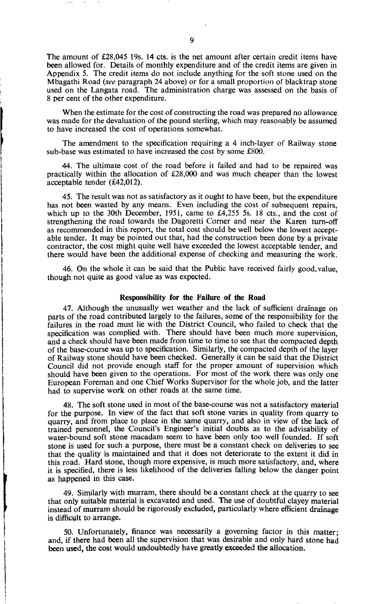The amount of  $£28,045$  19s. 14 cts. is the net amount after certain credit items have been allowed for. Details of monthly expenditure and of the credit items are given in Appendix 5. The credit items do not include anything for the soft stone used on the Mbagathi Road (see paragraph 24 above) or for a small proportion of blacktrap stone used on the Langata road. The administration charge was assessed on the basis of 8 per cent of the other expenditure.

When the estimate for the cost of constructing the road was prepared no allowance was made for the devaluation of the pound sterling, which may reasonably be assumed to have increased the cost of operations somewhat.

The amendment to the specification requiring a 4 inch-layer of Railway stone sub-base was estimated to have increased the cost by some £800.

44. The ultimate cost of the road before it failed and had to be repaired was practically within the allocation of  $£28,000$  and was much cheaper than the lowest acceptable tender (f42,012).

45. The result was not as satisfactory as it ought to have been, but the expenditure has not been wasted by any means. Even including the cost of subsequent repairs, which up to the 30th December, 1951, came to £4,255 5s. 18 cts., and the cost of strengthening the road towards the Dagoretti Corner and near the Karen turn-off as recommended in this report, the total cost should be well below the lowest acceptable tender. It may be pointed out that, had the construction been done by a private contractor, the cost might quite well have exceeded the lowest acceptable tender, and there would have been the additional expense of checking and measuring the work.

46. On the whole it can be said that the Public have received fairly good.value, though not quite as good value as was expected.

#### Responsibility for the Failure of the Road

47. Although the unusually wet weather and the lack of sufficient drainage on parts of the road contributed largely to the failures, some of the responsibility for the failures in the road must lie with the District Council, who failed to check that the specification was complied with. There should have been much more supervision, and a check should have been made from time to time to see that the compacted depth of the base-course was up to specification. Similarly, the compacted depth of the layer of Railway stone should have been checked. Generally it can be said that the District Council did not provide enough staff for the proper amount of supervision which should have been given to the operations. For most of the work there was only one European Foreman and one Chief Works Supervisor for the whole job, and the latter had to supervise work on other roads at the same time.

48. The soft stone used in most of the base-course was not a satisfactory material for the purpose. In view of the fact that soft stone varies in quality from quarry to quarry, and from place to place in the same quarry, and also in view of the lack of trained personnel, the Council's Engineer's initial doubts as to the advisability of water-bound soft stone macadam seem to have been only too well founded. If soft stone is used for such a purpose, there must be a constant check on deliveries to see that the quality is maintained and that it does not deteriorate to the extent it did in this road, Hard stone, though more expensive, is much more satisfactory, and, where it is specified, there is less likelihood of the deliveries falling below the danger point as happened in this case.

49. Similarly with murram, there should be a constant check at the quarry to see that only suitable material is excavated and used. The use of doubtful clayey material instead of murram should be rigorously excluded, particularly where efficient drainage is difficult to arrange.

50. Unfortunately, finance was necessarily a governing factor in this matter: and, if there had been all the supervision that was desirable and only hard stone had been uscd, the cost would undoubtedly have greatly exceeded the allocation.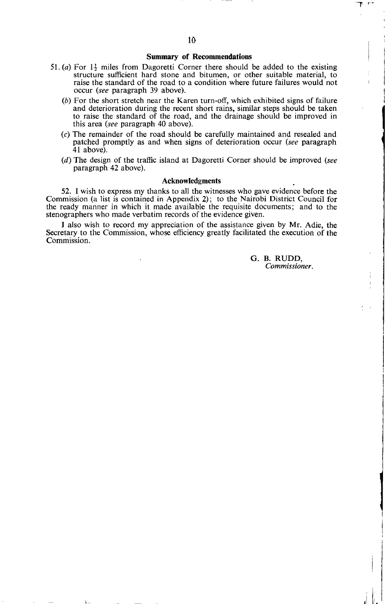#### Summary of Recommendations

- 51.(a) For  $1\frac{1}{2}$  miles from Dagoretti Corner there should be added to the existing structure sufficient hard stone and bitumen, or other suitable material, to raise the standard of the road to a condition where future failures would not occur (see paragraph 39 above).
	- (b) For the short stretch near the Karen turn-off, which exhibited signs of failure and deterioration during the recent short rains, similar steps should be taken to raise the standard of the road, and the drainage should be improved in this area (see paragraph 40 above).
	- (c) The remainder of the road should be carefully maintained and resealed and patched promptly as and when signs of deterioration occur (see paragraph 4l above).
	- (d) The design of the traffic island at Dagoretti Corner should be improved (see paragraph 42 above).

#### Acknowledgments

52. I wish to express my thanks to all the witnesses who gave evidence before the Commission (a list is contained in Appendix 2); to the Nairobi District Council for the ready manner in which it made available the requisite documents; and to the stenographers who made verbatim records of the evidence given.

I also wish to record my appreciation of the assistance given by Mr. Adie, the Secretary to the Commission, whose efficiency greatly facilitated the execution of the Commission.

> G. B. RUDD, Commissioner.

Ţ

 $l$  .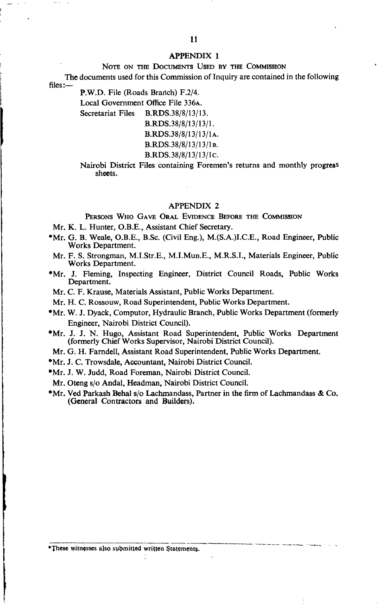NOTE ON THE DOCUMENTS USED BY THE COMMISSION The documents used for this Commission of Inquiry are contained in the following files:-

P.W.D. File (Roads Branch) F.2/4. Local Government Office File 336A.

Secretariat Files B.RDS.38/8/13/13.

B.RDS.38/8/13/13/1.

B.RDS.38/8/13/13/1A.  $B.RDS.38/8/13/13/1B.$ 

## B.RDS.38/8/13/13/1c.

Nairobi District Files containing Foremen's returns and monthly progress shects.

## APPENDIX 2

PERSONS WHO GAVE ORAL EVIDENCE BEFORE THE COMMISSION

- Mr. K. L. Hunter, O.B.E., Assistant Chief Secretary.
- \*Mr. G. B. Weale, O.B.E., B.Sc. (Civil Eng.), M.(S.A.)LC.E., Road Engineer, Public Works Department.
- Mr. F. S. Strongman, M.I.Str.E,, M.I.Mun.E., M.R.S.I., Materials Engineer, Public Works Department.
- fMr. J. Fleming, Inspecting Engineer, District Council Roads, Public Works Department.
- Mr. C. F. Krause, Materials Assistant, Public Works Department.
- Mr. H. C. Rossouw, Road Superintendent, Public Works Department.
- \*Mr. W. J. Dyack, Computor, Hydraulic Branch, Public Works Department (formerly Engineer, Nairobi District Council).
- rMr. J. J. N. Hugo, Assistant Road Superintendent, Public Works Department (formerly Chief Works Supervisor, Nairobi District Council).
- Mr. G. H. Farndell, Assistant Road Superintendent, Public Works Department.
- \*Mr. J. C. Trowsdale, Accountant, Nairobi District Council.
- \*Mr. J. W. Judd, Road Foreman, Nairobi District Council.
- Mr. Oteng s/o Andal, Headman, Nairobi District Council.
- \*Mr. Ved Parkash Behal s/o lachmandass, Partner in the firm of Lachmandass & Co. (Gcneral Contractors and Builders).

\*These witnesses also submitted written Statements.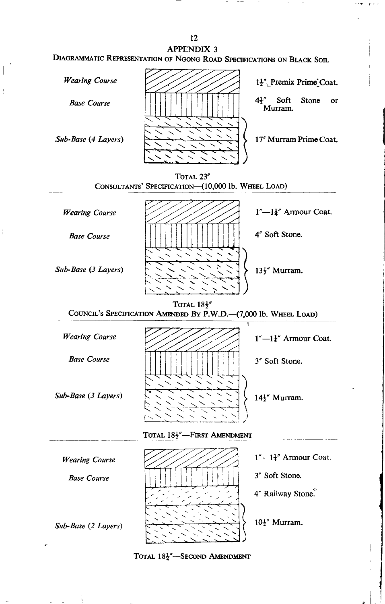DIAGRAMMATIC REPRESENTATION OF NGONG ROAD SPECIFICATIONS ON BLACK SOIL

**Wearing Course** 1<sup>1</sup>/<sub>2</sub> Premix Prime Coat. Soft Stone 44″ or **Base Course** Murram. Sub-Base (4 Layers) 17" Murram Prime Coat. TOTAL 23" CONSULTANTS' SPECIFICATION-(10,000 lb. WHEEL LOAD) 1"-11" Armour Coat. **Wearing Course** 4" Soft Stone. **Base Course** Sub-Base (3 Layers) 13<sup>1</sup> Murram. TOTAL 181" COUNCIL'S SPECIFICATION AMENDED BY P.W.D.-(7,000 lb. WHEEL LOAD) **Wearing Course** 1"-11" Armour Coat. **Base Course** 3" Soft Stone. Sub-Base (3 Layers) 14<sup>1</sup> Murram. TOTAL 18<sup>1</sup>/<sup>2</sup>-FIRST AMENDMENT 1"-11" Armour Coat. **Wearing Course** 3" Soft Stone. **Base Course** 4" Railway Stone. 10<sup>1</sup>/<sub>2</sub> Murram. Sub-Base (2 Layers)

TOTAL  $18\frac{1}{2}$  –Second Amendment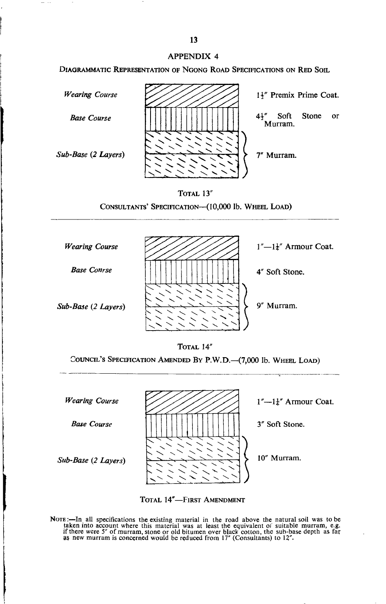



Sub-Base (2 Layers)

TOTAL 14"-FIRST AMENDMENT

10" Murram.

Nore:—In all specifications the existing material in the road above the natural soil was to be taken into account where this material was at least the equivalent of suitable murram, e.g. if there were 5" of murram, stone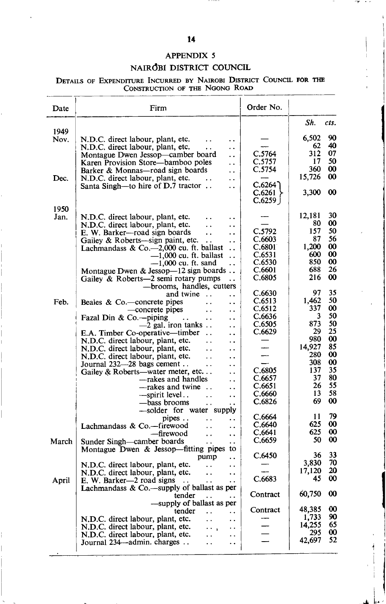## NAIRdBI DISTRICT COUNCIL

### Details of Expenditure Incurred by Nairobi District Council for the CONSTRUCTION OF THE NGONG ROAD

| Date         | Firm                                                                                                               | Order No.            |              |                       |
|--------------|--------------------------------------------------------------------------------------------------------------------|----------------------|--------------|-----------------------|
|              |                                                                                                                    |                      | Sh.          | cts.                  |
| 1949<br>Nov. | N.D.C. direct labour, plant, etc.<br>. .<br>N.D.C. direct labour, plant, etc.<br>$\ddot{\phantom{0}}$<br>. .       |                      | 6,502<br>62  | 90<br>40              |
|              | Montague Dwen Jessop—camber board<br>$\ddot{\phantom{0}}$                                                          | C.5764               | 312          | 07                    |
|              | Karen Provision Store—bamboo poles<br>$\ddot{\phantom{0}}$<br>Barker & Monnas—road sign boards                     | C.5757<br>C.5754     | 17<br>360    | 50<br>00              |
| Dec.         | $\ddot{\phantom{0}}$<br>N.D.C. direct labour, plant, etc.<br>$\ddot{\phantom{0}}$                                  |                      | 15,726       | 00                    |
|              | Santa Singh-to hire of D.7 tractor<br>. .                                                                          | C.6264               |              | 00                    |
|              |                                                                                                                    | C.6261<br>$C.6259$ ) | 3,300        |                       |
| 1950         |                                                                                                                    |                      |              |                       |
| Jan.         | N.D.C. direct labour, plant, etc.<br>$\ddot{\phantom{0}}$<br>. .                                                   |                      | 12,181<br>80 | 30<br>00              |
|              | N.D.C. direct labour, plant, etc.<br>$\ddot{\phantom{a}}$<br>. .                                                   | C.5792               | 157          | 50                    |
|              | E. W. Barker—road sign boards<br>$\ddot{\phantom{a}}$<br>$\ddot{\phantom{a}}$<br>Gailey & Roberts—sign paint, etc. | C.6603               | 87           | 56                    |
|              | $\ddot{\phantom{0}}$<br>$\ddot{\phantom{0}}$<br>Lachmandass & Co.-2,000 cu. ft. ballast<br>$\ddot{\phantom{0}}$    | C.6801               | 1.200        | $\boldsymbol{00}$     |
|              | $-1,000$ cu. ft. ballast<br>$\ddot{\phantom{a}}$                                                                   | C.6531               | 600          | 00                    |
|              | —1.000 cu. ft. sand<br>$\ddot{\phantom{a}}$                                                                        | C.6530               | 850          | 00                    |
|              | Montague Dwen & Jessop-12 sign boards                                                                              | C.6601               | 688          | 26                    |
|              | Gailey & Roberts-2 semi rotary pumps<br>$\ddot{\phantom{0}}$                                                       | C.6805               | 216          | 00                    |
|              | -brooms, handles, cutters                                                                                          |                      |              |                       |
|              | and twine<br>$\ddot{\phantom{a}}$<br>. .                                                                           | C.6630               | 97           | 35                    |
| Feb.         | Beales & Co.-concrete pipes<br>$\ddot{\phantom{a}}$<br>$\ddot{\phantom{0}}$                                        | C.6513               | 1,462        | 50                    |
|              | concrete pipes<br>$\ddot{\phantom{0}}$<br>. .                                                                      | C.6512               | 337          | $\bf{00}$             |
|              | Fazal Din & Co.—piping<br>$\ddotsc$<br>$\sim$ $\sim$<br>$\ddot{\phantom{0}}$                                       | C.6636               | 3            | 50                    |
|              | $-2$ gal. iron tanks<br>. .                                                                                        | C.6505               | 873          | 50                    |
|              | E.A. Timber Co-operative—timber<br>$\ddotsc$<br>. .                                                                | C.6629               | 29           | 25                    |
|              | N.D.C. direct labour, plant, etc.<br>$\ddot{\phantom{a}}$<br>. .                                                   |                      | 980          | $\boldsymbol{\infty}$ |
|              | N.D.C. direct labour, plant, etc.<br>$\ddot{\phantom{a}}$<br>$\ddot{\phantom{0}}$                                  |                      | 14,927       | 85                    |
|              | N.D.C. direct labour, plant, etc.<br>$\ddot{\phantom{a}}$<br>τ.                                                    |                      | 280          | 00                    |
|              | Journal $232-28$ bags cement<br>$\ddot{\phantom{0}}$<br>$\ddot{\phantom{0}}$                                       |                      | 308          | $\bf{0}$              |
|              | Gailey & Roberts—water meter, etc<br>$\ddot{\phantom{0}}$                                                          | C.6805               | 137          | 35                    |
|              | -rakes and handles<br>$\ddot{\phantom{0}}$                                                                         | C.6657               | 37           | 80                    |
|              | - rakes and twine<br>$\ddot{\phantom{a}}$                                                                          | C.6651               | 26           | 55                    |
|              | -spirit level<br>$\ddot{\phantom{1}}$<br>$\ddot{\phantom{1}}$                                                      | C.6660               | 13           | 58                    |
|              | —bass brooms<br>$\ddot{\phantom{a}}$<br>$\ddot{\phantom{0}}$                                                       | C.6826               | 69           | 00                    |
|              | solder for water supply                                                                                            |                      | 11           | 79                    |
|              | pipes                                                                                                              | C.6664<br>C.6640     | 625          | 00                    |
|              | Lachmandass & Co.—firewood<br>. .                                                                                  | C.6641               | 625          | 00                    |
|              | —firewood<br>$\ddot{\phantom{a}}$<br>$\ddot{\phantom{0}}$                                                          | C.6659               | 50           | 00                    |
| March        | Sunder Singh-camber boards<br>. .                                                                                  |                      |              |                       |
|              | Montague Dwen $\&$ Jessop—fitting pipes to<br>pump                                                                 | C.6450               | 36           | 33                    |
|              | $\ddot{\phantom{0}}$<br>N.D.C. direct labour, plant, etc.<br>$\ddot{\phantom{0}}$                                  |                      | 3,830        | 70                    |
|              | $\ddot{\phantom{0}}$<br>N.D.C. direct labour, plant, etc.                                                          |                      | 17,120       | 20                    |
| April        | $\ddot{\phantom{0}}$<br>. .<br>E. W. Barker—2 road signs<br>$\sim$ $\sim$<br>. .                                   | C.6683               | 45           | 00                    |
|              | Lachmandass & Co.—supply of ballast as per                                                                         |                      |              |                       |
|              | tender<br>$\ddot{\phantom{a}}$                                                                                     | Contract             | 60,750       | 00                    |
|              | -supply of ballast as per                                                                                          |                      |              |                       |
|              | tender<br>$\ddot{\phantom{a}}$<br>$\ddot{\phantom{0}}$                                                             | Contract             | 48,385       | 00                    |
|              | N.D.C. direct labour, plant, etc.<br>$\ddot{\phantom{0}}$<br>$\ddot{\phantom{a}}$                                  |                      | 1,733        | 90                    |
|              | N.D.C. direct labour, plant, etc.<br>. .                                                                           |                      | 14,255       | 65                    |
|              | N.D.C. direct labour, plant, etc.<br>$\ddot{\phantom{1}}$<br>. .                                                   |                      | 295          | 00                    |
|              | Journal 234—admin. charges<br>. .<br>. .                                                                           |                      | 42,697       | 52                    |
|              |                                                                                                                    |                      |              |                       |

i I

I -r, L"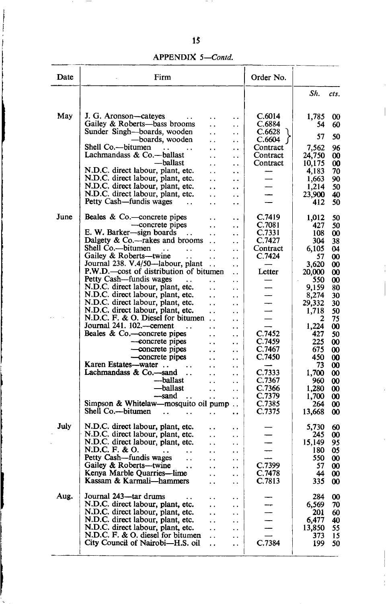## APPENDIX 5-Contd.

| Date        | Firm                                                           |                             | Order No. |               |                         |
|-------------|----------------------------------------------------------------|-----------------------------|-----------|---------------|-------------------------|
|             |                                                                |                             |           | Sh.           | cts.                    |
|             |                                                                |                             |           |               |                         |
| May         | J. G. Aronson-cateyes                                          | . .<br>. .                  | C.6014    | 1,785         | 00                      |
|             | Gailey & Roberts-bass brooms                                   | . .<br>. .                  | C.6884    | 54            | 60                      |
|             | Sunder Singh-boards, wooden                                    | $\ddot{\phantom{0}}$<br>. . | C.6628    | 57            | 50                      |
|             | -boards, wooden                                                | . .<br>Ω.                   | C.6604    |               |                         |
|             | Shell Co.—bitumen<br>$\sim$ $\sim$                             | . .<br>$\ddot{\phantom{0}}$ | Contract  | 7,562         | 96                      |
|             | Lachmandass & Co.—ballast<br>—ballast                          | . .<br>. .                  | Contract  | 24,750        | $\boldsymbol{\infty}$   |
|             | N.D.C. direct labour, plant, etc.                              | . .<br>. .                  | Contract  | 10,175        | 00                      |
|             | N.D.C. direct labour, plant, etc.                              | . .<br>. .                  | ----      | 4,183         | 70                      |
|             | N.D.C. direct labour, plant, etc.                              | $\ddot{\phantom{0}}$<br>. . |           | 1,663         | 90<br>50                |
|             | N.D.C. direct labour, plant, etc.                              | . .<br>. .                  |           | 1,214         |                         |
|             | Petty Cash—fundis wages<br>$\sim$ .                            | . .<br>. .                  |           | 23,900<br>412 | 40<br>50                |
|             |                                                                | . .<br>. .                  |           |               |                         |
| June        | Beales & Co.—concrete pipes                                    | . .                         | C.7419    | 1,012         | 50                      |
|             | concrete pipes                                                 | . .<br>. .                  | C.7081    | 427           | 50                      |
|             | E. W. Barker-sign boards                                       | . .<br>$\ddot{\phantom{0}}$ | C.7331    | 108           | 00                      |
|             | Dalgety & Co.—rakes and brooms                                 | . .<br>. .                  | C.7427    | 304           | 38                      |
|             | Shell Co.-bitumen<br>$\ddot{\phantom{a}}$                      | μ.<br>. .                   | Contract  | 6.105         | 04                      |
|             | Gailey & Roberts--twine                                        | . .<br>. .                  | C.7424    | 57            | 00                      |
|             | Journal 238. V.4/50—labour, plant                              | $\ddot{\phantom{a}}$<br>. . |           | 3,620         | 00                      |
|             | P.W.D. cost of distribution of bitumen                         | $\ddot{\phantom{0}}$        | Letter    | 20,000        | 00                      |
|             | Petty Cash—fundis wages                                        | . .<br>. .                  |           | 550           | 00                      |
|             | N.D.C. direct labour, plant, etc.                              | $\ddot{\phantom{0}}$<br>. . |           | 9,159         | 80                      |
|             | N.D.C. direct labour, plant, etc.                              | . .<br>. .                  |           | 8,274         | 30                      |
|             | N.D.C. direct labour, plant, etc.                              | . .<br>. .                  |           | 29,332        | 30                      |
|             | N.D.C. direct labour, plant, etc.                              | Ω.<br>. .                   |           | 1,718         | 50                      |
|             | N.D.C. F. & O. Diesel for bitumen<br>Journal 241, 102,—cement  | $\ddot{\phantom{a}}$<br>. . |           | 2             | 75                      |
|             | Beales & Co.—concrete pipes                                    | . .<br>. .                  | C.7452    | 1,224<br>427  | 00<br>50                |
|             | - concrete pipes                                               | . .<br>. .                  | C.7459    | 225           | 00                      |
|             | — concrete pipes                                               | . .<br>. .<br>. .<br>. .    | C.7467    | 675           | 00                      |
|             | — concrete pipes                                               | ٠.<br>. .                   | C.7450    | 450           | 00                      |
|             | Karen Estates-water                                            | . .<br>٠.                   |           | 73            | 00                      |
|             | Lachmandass & Co.-sand<br>. .                                  | . .<br>. .                  | C.7333    | 1,700         | 00                      |
|             | -ballast                                                       | . .<br>. .                  | C.7367    | 960           | 00                      |
|             | -ballast                                                       | . .<br>٠.                   | C.7366    | 1,280         | 00                      |
|             | —sand                                                          | . .<br>. .                  | C.7379    | 1,700         | 00                      |
|             | Simpson & Whitelaw-mosquito oil pump                           | $\ddot{\phantom{0}}$        | C.7385    | 264           | 00                      |
|             | Shell Co.—bitumen<br>$\ddot{\phantom{a}}$                      | $\ddot{\phantom{0}}$        | C.7375    | 13,668        | 00                      |
|             |                                                                |                             |           |               |                         |
| <b>July</b> | N.D.C. direct labour, plant, etc.                              | . .<br>. .                  |           | 5,730         | 60                      |
|             | N.D.C. direct labour, plant, etc.                              | $\ddot{\phantom{0}}$<br>. . |           | 245           | 00                      |
|             | N.D.C. direct labour, plant, etc.<br>N.D.C. F. & O.            | . .<br>. .                  |           | 15,149        | 95                      |
|             | <b><i>Contractor Contractor</i></b><br>Petty Cash-fundis wages | $\ddot{\phantom{1}}$        |           | 180<br>550    | 05<br>$\boldsymbol{00}$ |
|             | Gailey & Roberts--twine<br>. .                                 | ۰.<br>. .                   | C.7399    | 57            | 00                      |
|             | Kenya Marble Quarries—lime                                     | . .                         | C.7478    | 44            | 00                      |
|             | Kassam & Karmali-hammers                                       | . .<br>. .                  | C.7813    | 335           | 00                      |
|             |                                                                |                             |           |               |                         |
| Aug.        | Journal 243-tar drums                                          | . .<br>. .                  |           | 284           | 00                      |
|             | N.D.C. direct labour, plant, etc.                              | . .<br>. .                  |           | 6,569         | 70                      |
|             | N.D.C. direct labour, plant, etc.                              | . .<br>. .                  |           | 201           | 60                      |
|             | N.D.C. direct labour, plant, etc.                              | . .<br>. .                  |           | 6,477         | 40                      |
|             | N.D.C. direct labour, plant, etc.                              | . .<br>. .                  |           | 13,850        | 55                      |
|             | N.D.C. F. & O. diesel for bitumen                              | . .<br>$\ddot{\phantom{0}}$ | C.7384    | 373           | 15                      |
|             | City Council of Nairobi-H.S. oil                               | . .<br>. .                  |           | 199           | 50                      |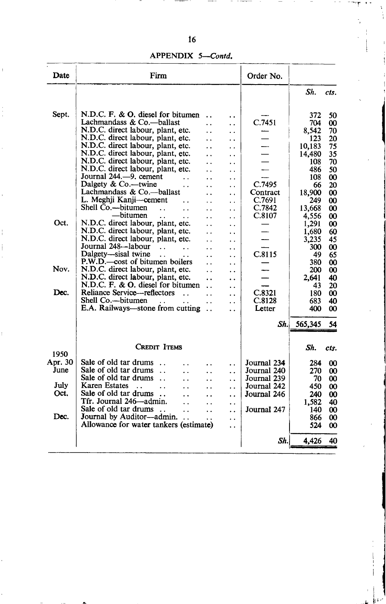| Date            | Firm                                                                                                                                                                                                                                                                                                                                                                                                                                                                           |                                                             | Order No.                                 |                                                                                     |                                                                                                  |
|-----------------|--------------------------------------------------------------------------------------------------------------------------------------------------------------------------------------------------------------------------------------------------------------------------------------------------------------------------------------------------------------------------------------------------------------------------------------------------------------------------------|-------------------------------------------------------------|-------------------------------------------|-------------------------------------------------------------------------------------|--------------------------------------------------------------------------------------------------|
|                 |                                                                                                                                                                                                                                                                                                                                                                                                                                                                                |                                                             |                                           | Sh.                                                                                 | cts.                                                                                             |
| Sept.           | N.D.C. F. & O. diesel for bitumen<br>Lachmandass & Co.—ballast<br>$\ddot{\phantom{1}}$<br>N.D.C. direct labour, plant, etc.<br>. .<br>N.D.C. direct labour, plant, etc.<br>$\ddot{\phantom{a}}$<br>N.D.C. direct labour, plant, etc.<br>. .<br>N.D.C. direct labour, plant, etc.<br>N.D.C. direct labour, plant, etc.<br>. .<br>N.D.C. direct labour, plant, etc.<br>Journal 244.-9. cement<br>$\ddot{\phantom{a}}$<br>. .<br>Dalgety & Co.-twine<br>Lachmandass & Co.-ballast | . .<br>. .<br>. .<br>. .<br>. .<br>. .<br>. .<br>. .<br>. . | C.7451<br>C.7495<br>Contract              | 372<br>704<br>8.542<br>123<br>10,183<br>14,480<br>108<br>486<br>108<br>66<br>18.900 | 50<br>00<br>70<br>20<br>75<br>35<br>70<br>50<br>$\boldsymbol{\omega}$<br>20<br>$\boldsymbol{00}$ |
| Oct.            | L. Meghji Kanji-cement<br>Shell Co.—bitumen<br>$\ddot{\phantom{a}}$<br>$\cdot$ .<br>$\ddot{\phantom{0}}$<br>-bitumen<br>$\ddot{\phantom{a}}$<br>έ.<br>N.D.C. direct labour, plant, etc.<br>. .                                                                                                                                                                                                                                                                                 | . .<br>. .<br>. .<br>. .                                    | C.7691<br>C.7842<br>C.8107                | 249<br>13,668<br>4,556<br>1,291                                                     | $\boldsymbol{\omega}$<br>$\boldsymbol{\omega}$<br>$\boldsymbol{00}$<br>$\boldsymbol{00}$         |
|                 | N.D.C. direct labour, plant, etc.<br>N.D.C. direct labour, plant, etc.<br>. .<br>Journal 248—labour<br>$\ddot{\phantom{a}}$<br>$\ddot{\phantom{a}}$<br>Dalgety—sisal twine<br>$\sim$<br>$\ddot{\phantom{0}}$<br>. .<br>P.W.D. cost of bitumen boilers                                                                                                                                                                                                                          | . .<br>. .<br>. .<br>. .                                    | C.8115                                    | 1,680<br>3,235<br>300<br>49<br>380                                                  | 60<br>45<br>$\boldsymbol{00}$<br>65<br>00                                                        |
| Nov.            | N.D.C. direct labour, plant, etc.<br>$\ddot{\phantom{0}}$<br>N.D.C. direct labour, plant, etc.<br>N.D.C. F. & O. diesel for bitumen                                                                                                                                                                                                                                                                                                                                            | $\ddot{\phantom{0}}$<br>. .<br>. .                          |                                           | 200<br>2,641<br>43                                                                  | $\boldsymbol{\omega}$<br>40<br>20                                                                |
| Dec.            | . .<br>Reliance Service—reflectors<br>Shell Co.—bitumen<br>$\ddot{\phantom{1}}$<br>$\ddot{\phantom{0}}$<br>E.A. Railways-stone from cutting<br>$\ddotsc$                                                                                                                                                                                                                                                                                                                       | . .<br>. .<br>. .<br>. .                                    | C.8321<br>C.8128<br>Letter                | 180<br>683<br>400                                                                   | $\boldsymbol{\omega}$<br>40<br>00                                                                |
|                 |                                                                                                                                                                                                                                                                                                                                                                                                                                                                                |                                                             | Sh.                                       | 565,345                                                                             | 54                                                                                               |
| 1950            | <b>CREDIT ITEMS</b>                                                                                                                                                                                                                                                                                                                                                                                                                                                            |                                                             |                                           | Sh.                                                                                 | cis.                                                                                             |
| Apr. 30<br>June | Sale of old tar drums<br>$\ddot{\phantom{a}}$<br>Sale of old tar drums<br>Sale of old tar drums<br>$\ddot{\phantom{a}}$                                                                                                                                                                                                                                                                                                                                                        | . .<br>$\ddot{\phantom{0}}$<br>٠.                           | Journal 234<br>Journal 240<br>Journal 239 | 284<br>270<br>70                                                                    | 00<br>00<br>$\boldsymbol{00}$                                                                    |
| July<br>Oct.    | <b>Karen Estates</b><br>$\ddot{\phantom{a}}$<br>$\ddot{\phantom{0}}$<br>Sale of old tar drums<br>Tfr. Journal 246—admin.                                                                                                                                                                                                                                                                                                                                                       | . .<br>$\cdot$ .                                            | Journal 242<br>Journal 246                | 450<br>240<br>1.582                                                                 | $\bf{00}$<br>$\boldsymbol{\omega}$<br>40                                                         |
| Dec.            | Sale of old tar drums<br>. .<br>. .<br>Journal by Auditor-admin.<br>$\ddot{\phantom{0}}$<br>Allowance for water tankers (estimate)                                                                                                                                                                                                                                                                                                                                             | . .<br>. .<br>. .                                           | Journal 247                               | 140<br>866<br>524                                                                   | $\bf{00}$<br>00<br>00                                                                            |
|                 |                                                                                                                                                                                                                                                                                                                                                                                                                                                                                |                                                             | Sh.                                       | 4,426                                                                               | 40                                                                                               |

r, lit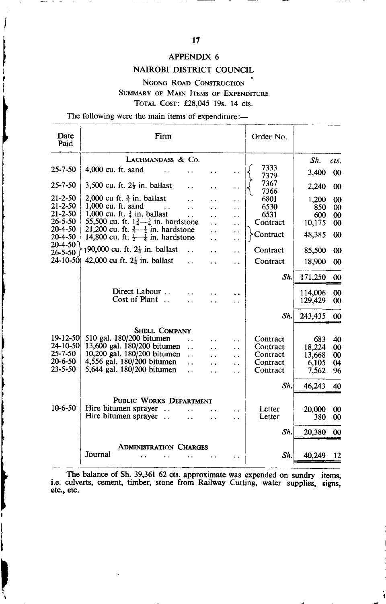## NAIROBI DISTRICT COUNCIL

## NGONG ROAD CONSTRUCTION SUMMARY OF MAIN ITEMS OF EXPENDITURE TOTAL COST: £28,045 19s. 14 cts.

## The following were the main items of expenditure:-

| Date<br>Paid                                           | Firm                                                                                                                 |                                    |                             | Order No.                                    |                                  |                                            |
|--------------------------------------------------------|----------------------------------------------------------------------------------------------------------------------|------------------------------------|-----------------------------|----------------------------------------------|----------------------------------|--------------------------------------------|
|                                                        | LACHMANDASS & Co.                                                                                                    |                                    |                             |                                              | Sh.                              | cts.                                       |
| $25 - 7 - 50$                                          | 4,000 cu. ft. sand                                                                                                   |                                    |                             | 7333<br>7379                                 | 3,400                            | $\boldsymbol{\omega}$                      |
| $25 - 7 - 50$                                          | 3,500 cu. ft. $2\frac{1}{2}$ in. ballast                                                                             |                                    |                             | 7367<br>7366                                 | 2,240                            | $\boldsymbol{00}$                          |
| $21 - 2 - 50$<br>$21 - 2 - 50$<br>$21 - 2 - 50$        | 2,000 cu ft. $\frac{3}{4}$ in. ballast<br>1,000 cu. ft. sand<br>$\ddot{\phantom{a}}$                                 | $\ddot{\phantom{a}}$               | . .                         | 6801<br>6530                                 | 1,200<br>850                     | 00<br>00                                   |
| $26 - 5 - 50$                                          | 1,000 cu. ft. $\frac{3}{4}$ in. ballast<br>55,500 cu. ft. $1\frac{3}{4} - \frac{3}{4}$ in. hardstone                 | $\ddot{\phantom{a}}$               | $\ddot{\phantom{1}}$        | 6531<br>Contract                             | 600<br>10,175                    | $\boldsymbol{00}$<br>$\boldsymbol{\omega}$ |
| 20-4-50<br>$20 - 4 - 50$                               | 21,200 cu. ft. $\frac{3}{4} - \frac{1}{2}$ in. hardstone 14,800 cu. ft. $\frac{1}{2} - \frac{1}{4}$ in. hardstone    |                                    | $\ddot{\phantom{1}}$<br>. . | Contract                                     | 48,385                           | $\boldsymbol{00}$                          |
| $20 - 4 - 50$<br>$26 - 5 - 50$                         | 190,000 cu. ft. 21 in. ballast                                                                                       |                                    | . .                         | Contract                                     | 85,500                           | $\infty$                                   |
| 24-10-50                                               | 42,000 cu ft. $2\frac{1}{4}$ in. ballast                                                                             |                                    | . .                         | Contract                                     | 18,900                           | $\boldsymbol{00}$                          |
|                                                        |                                                                                                                      |                                    |                             | Sh.                                          | 171,250                          | $\infty$                                   |
|                                                        | Direct Labour<br>Cost of Plant                                                                                       |                                    |                             |                                              | 114,006<br>129,429               | 00<br>00                                   |
|                                                        |                                                                                                                      |                                    |                             | Sh.                                          | 243,435                          | 00                                         |
|                                                        | SHELL COMPANY                                                                                                        |                                    |                             |                                              |                                  |                                            |
| $19 - 12 - 50$<br>24-10-50<br>$25 - 7 - 50$<br>20-6-50 | 510 gal, 180/200 bitumen<br>13,600 gal. 180/200 bitumen<br>10,200 gal. 180/200 bitumen<br>4,556 gal. 180/200 bitumen | . .<br>$\ddot{\phantom{0}}$<br>. . | . .<br>μ.                   | Contract<br>Contract<br>Contract<br>Contract | 683<br>18,224<br>13,668<br>6,105 | 40<br>00<br>$\bf{00}$<br>04                |
| $23 - 5 - 50$                                          | 5,644 gal. 180/200 bitumen                                                                                           |                                    |                             | Contract                                     | 7,562                            | 96                                         |
|                                                        |                                                                                                                      |                                    |                             | Sh.                                          | 46,243                           | 40                                         |
|                                                        | PUBLIC WORKS DEPARTMENT                                                                                              |                                    |                             |                                              |                                  |                                            |
| $10 - 6 - 50$                                          | Hire bitumen sprayer<br>. .<br>Hire bitumen sprayer<br>. .                                                           |                                    |                             | Letter<br>Letter                             | 20,000<br>380                    | 00<br>00                                   |
|                                                        |                                                                                                                      |                                    |                             | Sh.                                          | 20,380                           | $\bf{0}$                                   |
|                                                        | <b>ADMINISTRATION CHARGES</b><br>Journal                                                                             |                                    |                             | Sh.                                          | 40,249                           | 12                                         |

The balance of Sh. 39,361 62 cts. approximate was expended on sundry items, i.e. culverts, cement, timber, stone from Railway Cutting, water supplies, signs, etc., etc.